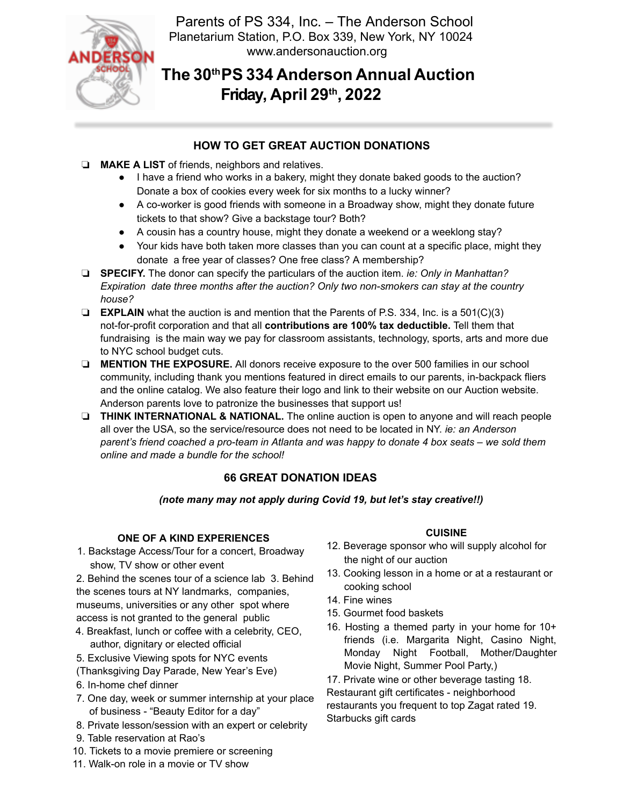

Parents of PS 334, Inc. – The Anderson School Planetarium Station, P.O. Box 339, New York, NY 10024 www.andersonauction.org

# **The 30th PS 334 Anderson Annual Auction Friday, April 29th , 2022**

# **HOW TO GET GREAT AUCTION DONATIONS**

- ❏ **MAKE A LIST** of friends, neighbors and relatives.
	- I have a friend who works in a bakery, might they donate baked goods to the auction? Donate a box of cookies every week for six months to a lucky winner?
	- A co-worker is good friends with someone in a Broadway show, might they donate future tickets to that show? Give a backstage tour? Both?
	- A cousin has a country house, might they donate a weekend or a weeklong stay?
	- Your kids have both taken more classes than you can count at a specific place, might they donate a free year of classes? One free class? A membership?
- ❏ **SPECIFY.** The donor can specify the particulars of the auction item. *ie: Only in Manhattan? Expiration date three months after the auction? Only two non-smokers can stay at the country house?*
- ❏ **EXPLAIN** what the auction is and mention that the Parents of P.S. 334, Inc. is a 501(C)(3) not-for-profit corporation and that all **contributions are 100% tax deductible.** Tell them that fundraising is the main way we pay for classroom assistants, technology, sports, arts and more due to NYC school budget cuts.
- ❏ **MENTION THE EXPOSURE.** All donors receive exposure to the over 500 families in our school community, including thank you mentions featured in direct emails to our parents, in-backpack fliers and the online catalog. We also feature their logo and link to their website on our Auction website. Anderson parents love to patronize the businesses that support us!
- ❏ **THINK INTERNATIONAL & NATIONAL.** The online auction is open to anyone and will reach people all over the USA, so the service/resource does not need to be located in NY. *ie: an Anderson parent's friend coached a pro-team in Atlanta and was happy to donate 4 box seats – we sold them online and made a bundle for the school!*

# **66 GREAT DONATION IDEAS**

*(note many may not apply during Covid 19, but let's stay creative!!)* 

## **ONE OF A KIND EXPERIENCES**

1. Backstage Access/Tour for a concert, Broadway show, TV show or other event

2. Behind the scenes tour of a science lab 3. Behind the scenes tours at NY landmarks, companies, museums, universities or any other spot where access is not granted to the general public

- 4. Breakfast, lunch or coffee with a celebrity, CEO, author, dignitary or elected official
- 5. Exclusive Viewing spots for NYC events
- (Thanksgiving Day Parade, New Year's Eve)
- 6. In-home chef dinner
- 7. One day, week or summer internship at your place of business - "Beauty Editor for a day"
- 8. Private lesson/session with an expert or celebrity
- 9. Table reservation at Rao's
- 10. Tickets to a movie premiere or screening
- 11. Walk-on role in a movie or TV show

# **CUISINE**

- 12. Beverage sponsor who will supply alcohol for the night of our auction
- 13. Cooking lesson in a home or at a restaurant or cooking school
- 14. Fine wines
- 15. Gourmet food baskets
- 16. Hosting a themed party in your home for 10+ friends (i.e. Margarita Night, Casino Night, Monday Night Football, Mother/Daughter Movie Night, Summer Pool Party,)

17. Private wine or other beverage tasting 18. Restaurant gift certificates - neighborhood restaurants you frequent to top Zagat rated 19. Starbucks gift cards